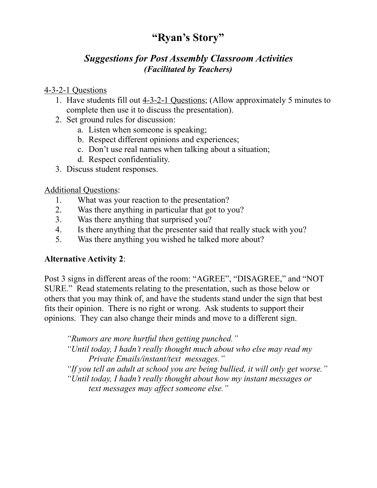# **"Ryan's Story"**

## *Suggestions for Post Assembly Classroom Activities (Facilitated by Teachers)*

#### 4-3-2-1 Questions

- 1. Have students fill out 4-3-2-1 Questions; (Allow approximately 5 minutes to complete then use it to discuss the presentation).
- 2. Set ground rules for discussion:
	- a. Listen when someone is speaking;
	- b. Respect different opinions and experiences;
	- c. Don't use real names when talking about a situation;
	- d. Respect confidentiality.
- 3. Discuss student responses.

#### Additional Questions:

- 1. What was your reaction to the presentation?
- 2. Was there anything in particular that got to you?
- 3. Was there anything that surprised you?
- 4. Is there anything that the presenter said that really stuck with you?
- 5. Was there anything you wished he talked more about?

### **Alternative Activity 2**:

Post 3 signs in different areas of the room: "AGREE", "DISAGREE," and "NOT SURE." Read statements relating to the presentation, such as those below or others that you may think of, and have the students stand under the sign that best fits their opinion. There is no right or wrong. Ask students to support their opinions. They can also change their minds and move to a different sign.

*"Rumors are more hurtful then getting punched."* 

 *"Until today, I hadn't really thought much about who else may read my Private Emails/instant/text messages."* 

*"If you tell an adult at school you are being bullied, it will only get worse." "Until today, I hadn't really thought about how my instant messages or text messages may affect someone else."*